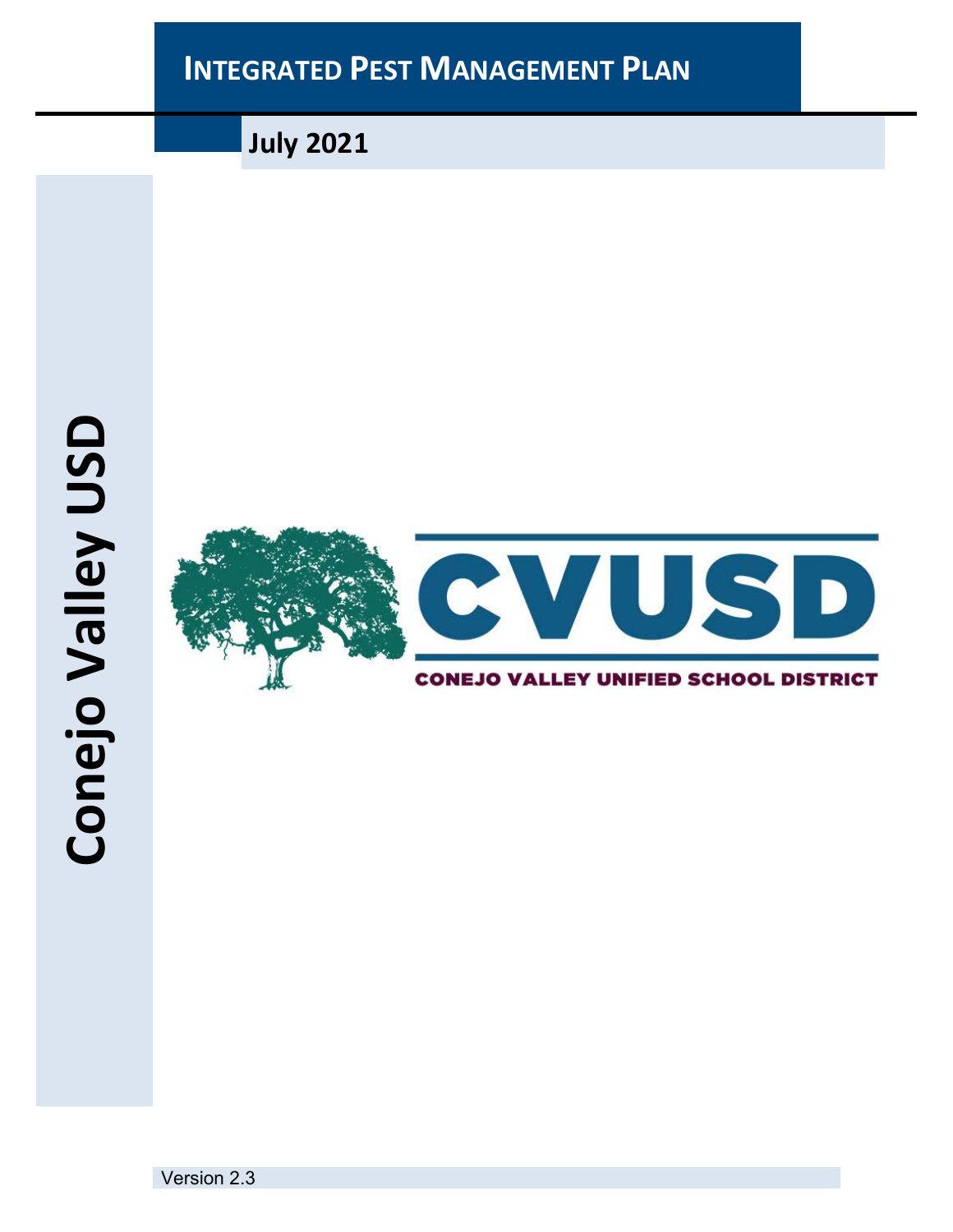

**July 2021**



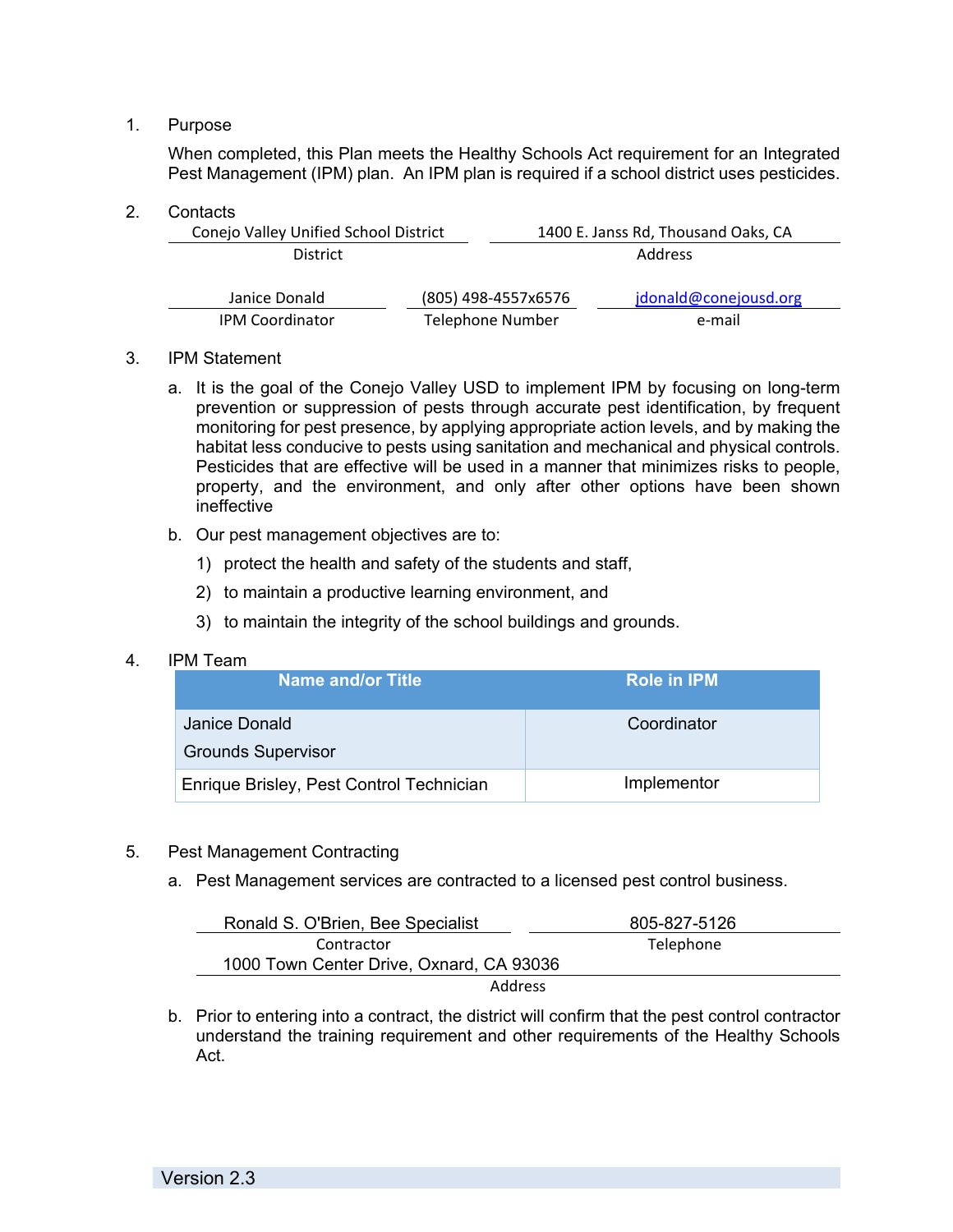# 1. Purpose

When completed, this Plan meets the Healthy Schools Act requirement for an Integrated Pest Management (IPM) plan. An IPM plan is required if a school district uses pesticides.

## 2. Contacts

| Conejo Valley Unified School District |                         | 1400 E. Janss Rd, Thousand Oaks, CA |                       |  |
|---------------------------------------|-------------------------|-------------------------------------|-----------------------|--|
| <b>District</b>                       |                         |                                     | <b>Address</b>        |  |
| Janice Donald                         |                         | (805) 498-4557x6576                 | jdonald@conejousd.org |  |
| <b>IPM Coordinator</b>                | <b>Telephone Number</b> |                                     | e-mail                |  |

## 3. IPM Statement

- a. It is the goal of the Conejo Valley USD to implement IPM by focusing on long-term prevention or suppression of pests through accurate pest identification, by frequent monitoring for pest presence, by applying appropriate action levels, and by making the habitat less conducive to pests using sanitation and mechanical and physical controls. Pesticides that are effective will be used in a manner that minimizes risks to people, property, and the environment, and only after other options have been shown ineffective
- b. Our pest management objectives are to:
	- 1) protect the health and safety of the students and staff,
	- 2) to maintain a productive learning environment, and
	- 3) to maintain the integrity of the school buildings and grounds.

## 4. IPM Team

| Name and/or Title                          | Role in <b>IPM</b> |
|--------------------------------------------|--------------------|
| Janice Donald<br><b>Grounds Supervisor</b> | Coordinator        |
| Enrique Brisley, Pest Control Technician   | Implementor        |

# 5. Pest Management Contracting

a. Pest Management services are contracted to a licensed pest control business.

| Ronald S. O'Brien, Bee Specialist        | 805-827-5126 |
|------------------------------------------|--------------|
| Contractor                               | Telephone    |
| 1000 Town Center Drive, Oxnard, CA 93036 |              |
| Address                                  |              |

b. Prior to entering into a contract, the district will confirm that the pest control contractor understand the training requirement and other requirements of the Healthy Schools Act.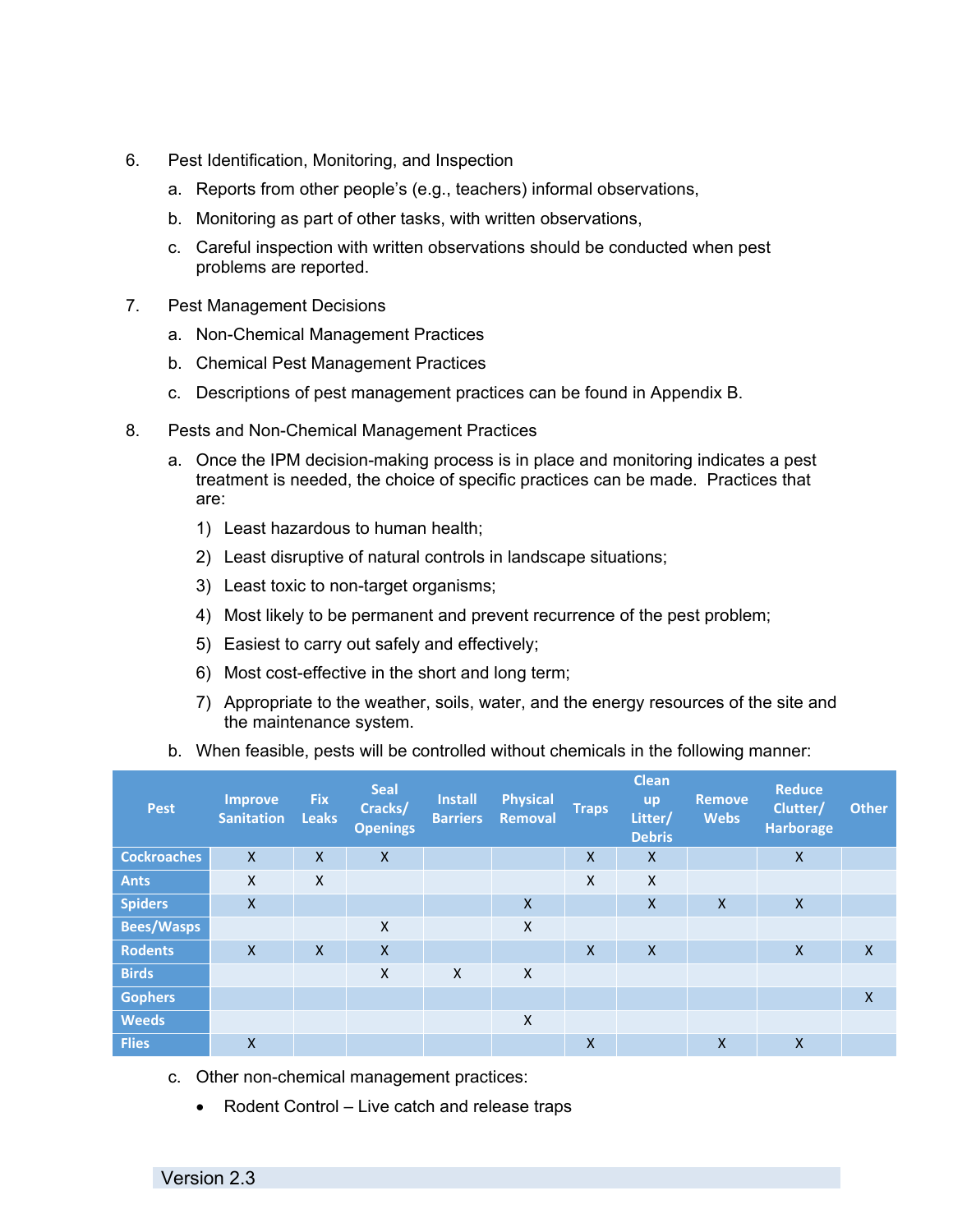- 6. Pest Identification, Monitoring, and Inspection
	- a. Reports from other people's (e.g., teachers) informal observations,
	- b. Monitoring as part of other tasks, with written observations,
	- c. Careful inspection with written observations should be conducted when pest problems are reported.
- 7. Pest Management Decisions
	- a. Non-Chemical Management Practices
	- b. Chemical Pest Management Practices
	- c. Descriptions of pest management practices can be found in Appendix B.
- 8. Pests and Non-Chemical Management Practices
	- a. Once the IPM decision-making process is in place and monitoring indicates a pest treatment is needed, the choice of specific practices can be made. Practices that are:
		- 1) Least hazardous to human health;
		- 2) Least disruptive of natural controls in landscape situations;
		- 3) Least toxic to non-target organisms;
		- 4) Most likely to be permanent and prevent recurrence of the pest problem;
		- 5) Easiest to carry out safely and effectively;
		- 6) Most cost-effective in the short and long term;
		- 7) Appropriate to the weather, soils, water, and the energy resources of the site and the maintenance system.
	- b. When feasible, pests will be controlled without chemicals in the following manner:

| <b>Pest</b>        | <b>Improve</b><br><b>Sanitation</b> | <b>Fix</b><br><b>Leaks</b> | <b>Seal</b><br>Cracks/<br><b>Openings</b> | <b>Install</b><br><b>Barriers</b> | <b>Physical</b><br>Removal | <b>Traps</b>              | <b>Clean</b><br><b>up</b><br>Litter/<br><b>Debris</b> | <b>Remove</b><br><b>Webs</b> | <b>Reduce</b><br>Clutter/<br><b>Harborage</b> | <b>Other</b>     |
|--------------------|-------------------------------------|----------------------------|-------------------------------------------|-----------------------------------|----------------------------|---------------------------|-------------------------------------------------------|------------------------------|-----------------------------------------------|------------------|
| <b>Cockroaches</b> | $\mathsf{X}$                        | $\mathsf{X}$               | $\mathsf{X}$                              |                                   |                            | $\mathsf{x}$              | $\boldsymbol{\mathsf{X}}$                             |                              | $\boldsymbol{\mathsf{X}}$                     |                  |
| <b>Ants</b>        | X                                   | $\boldsymbol{\mathsf{X}}$  |                                           |                                   |                            | $\mathsf{x}$              | X                                                     |                              |                                               |                  |
| <b>Spiders</b>     | $\mathsf{x}$                        |                            |                                           |                                   | $\mathsf{x}$               |                           | $\boldsymbol{\mathsf{X}}$                             | $\mathsf{X}$                 | $\mathsf{x}$                                  |                  |
| <b>Bees/Wasps</b>  |                                     |                            | X                                         |                                   | X                          |                           |                                                       |                              |                                               |                  |
| <b>Rodents</b>     | $\mathsf{x}$                        | $\mathsf{X}$               | $\boldsymbol{\mathsf{X}}$                 |                                   |                            | $\boldsymbol{\mathsf{X}}$ | $\mathsf{X}$                                          |                              | $\boldsymbol{\mathsf{X}}$                     | $\mathsf{X}$     |
| <b>Birds</b>       |                                     |                            | X                                         | $\mathsf{x}$                      | $\mathsf{x}$               |                           |                                                       |                              |                                               |                  |
| <b>Gophers</b>     |                                     |                            |                                           |                                   |                            |                           |                                                       |                              |                                               | $\boldsymbol{X}$ |
| <b>Weeds</b>       |                                     |                            |                                           |                                   | X                          |                           |                                                       |                              |                                               |                  |
| <b>Flies</b>       | $\mathsf{X}$                        |                            |                                           |                                   |                            | X                         |                                                       | $\mathsf{X}$                 | $\mathsf{x}$                                  |                  |

- c. Other non-chemical management practices:
	- Rodent Control Live catch and release traps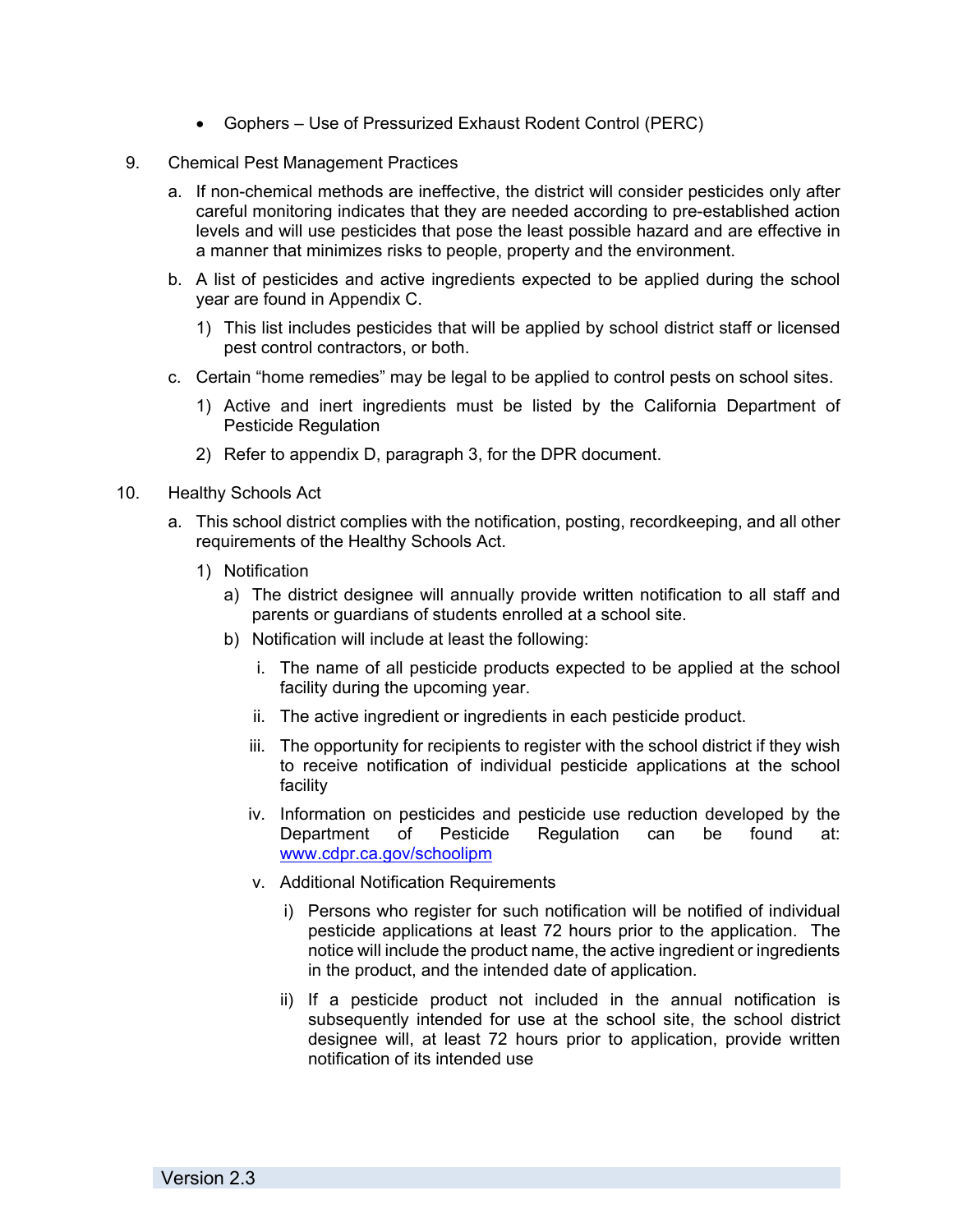- Gophers Use of Pressurized Exhaust Rodent Control (PERC)
- 9. Chemical Pest Management Practices
	- a. If non-chemical methods are ineffective, the district will consider pesticides only after careful monitoring indicates that they are needed according to pre-established action levels and will use pesticides that pose the least possible hazard and are effective in a manner that minimizes risks to people, property and the environment.
	- b. A list of pesticides and active ingredients expected to be applied during the school year are found in Appendix C.
		- 1) This list includes pesticides that will be applied by school district staff or licensed pest control contractors, or both.
	- c. Certain "home remedies" may be legal to be applied to control pests on school sites.
		- 1) Active and inert ingredients must be listed by the California Department of Pesticide Regulation
		- 2) Refer to appendix D, paragraph 3, for the DPR document.
- 10. Healthy Schools Act
	- a. This school district complies with the notification, posting, recordkeeping, and all other requirements of the Healthy Schools Act.
		- 1) Notification
			- a) The district designee will annually provide written notification to all staff and parents or guardians of students enrolled at a school site.
			- b) Notification will include at least the following:
				- i. The name of all pesticide products expected to be applied at the school facility during the upcoming year.
				- ii. The active ingredient or ingredients in each pesticide product.
				- iii. The opportunity for recipients to register with the school district if they wish to receive notification of individual pesticide applications at the school facility
				- iv. Information on pesticides and pesticide use reduction developed by the Department of Pesticide Regulation can be found at: www.cdpr.ca.gov/schoolipm
				- v. Additional Notification Requirements
					- i) Persons who register for such notification will be notified of individual pesticide applications at least 72 hours prior to the application. The notice will include the product name, the active ingredient or ingredients in the product, and the intended date of application.
					- ii) If a pesticide product not included in the annual notification is subsequently intended for use at the school site, the school district designee will, at least 72 hours prior to application, provide written notification of its intended use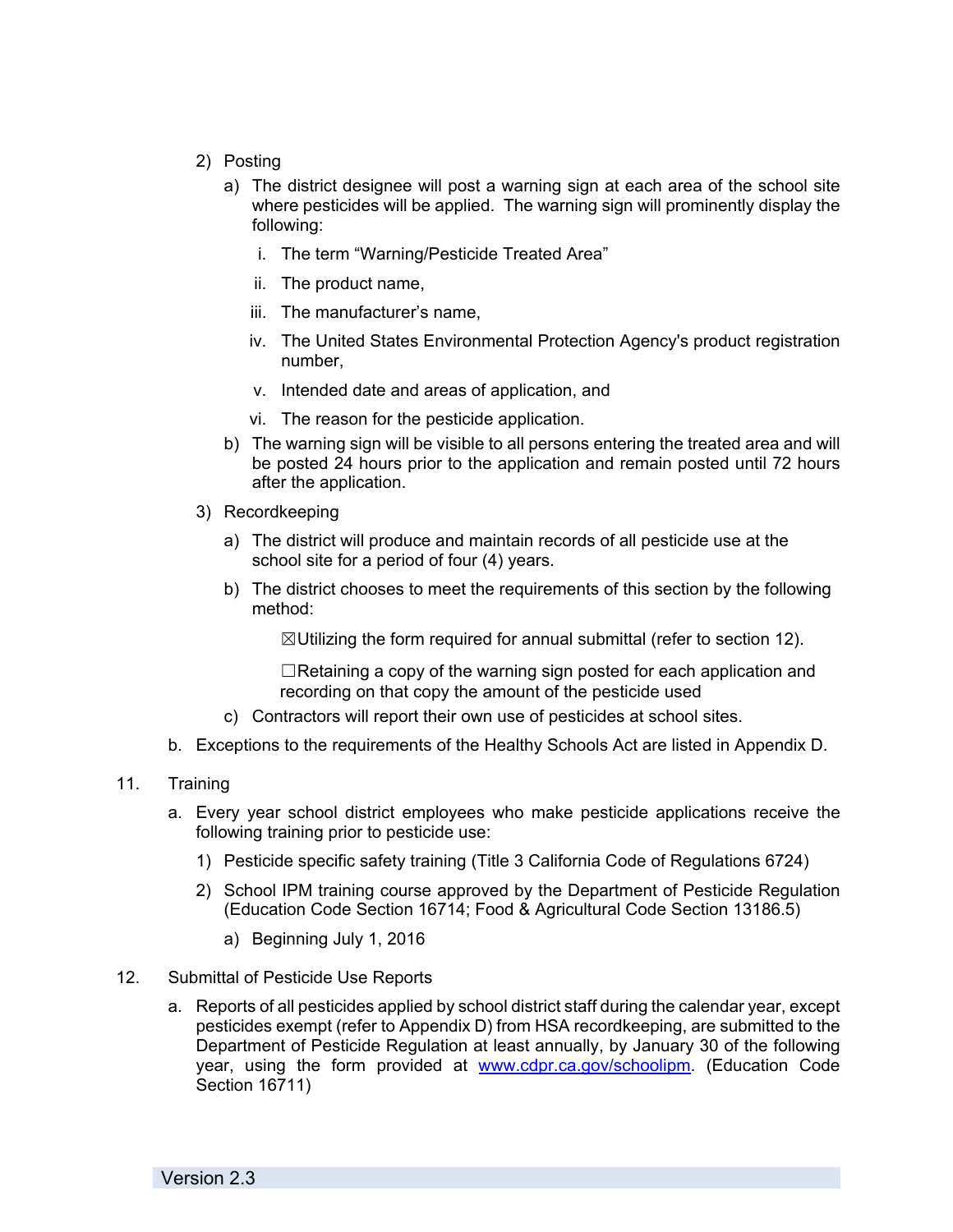- 2) Posting
	- a) The district designee will post a warning sign at each area of the school site where pesticides will be applied. The warning sign will prominently display the following:
		- i. The term "Warning/Pesticide Treated Area"
		- ii. The product name,
		- iii. The manufacturer's name,
		- iv. The United States Environmental Protection Agency's product registration number,
		- v. Intended date and areas of application, and
		- vi. The reason for the pesticide application.
	- b) The warning sign will be visible to all persons entering the treated area and will be posted 24 hours prior to the application and remain posted until 72 hours after the application.
- 3) Recordkeeping
	- a) The district will produce and maintain records of all pesticide use at the school site for a period of four (4) years.
	- b) The district chooses to meet the requirements of this section by the following method:

 $\boxtimes$ Utilizing the form required for annual submittal (refer to section 12).

 $\Box$ Retaining a copy of the warning sign posted for each application and recording on that copy the amount of the pesticide used

- c) Contractors will report their own use of pesticides at school sites.
- b. Exceptions to the requirements of the Healthy Schools Act are listed in Appendix D.
- 11. Training
	- a. Every year school district employees who make pesticide applications receive the following training prior to pesticide use:
		- 1) Pesticide specific safety training (Title 3 California Code of Regulations 6724)
		- 2) School IPM training course approved by the Department of Pesticide Regulation (Education Code Section 16714; Food & Agricultural Code Section 13186.5)
			- a) Beginning July 1, 2016
- 12. Submittal of Pesticide Use Reports
	- a. Reports of all pesticides applied by school district staff during the calendar year, except pesticides exempt (refer to Appendix D) from HSA recordkeeping, are submitted to the Department of Pesticide Regulation at least annually, by January 30 of the following year, using the form provided at www.cdpr.ca.gov/schoolipm. (Education Code Section 16711)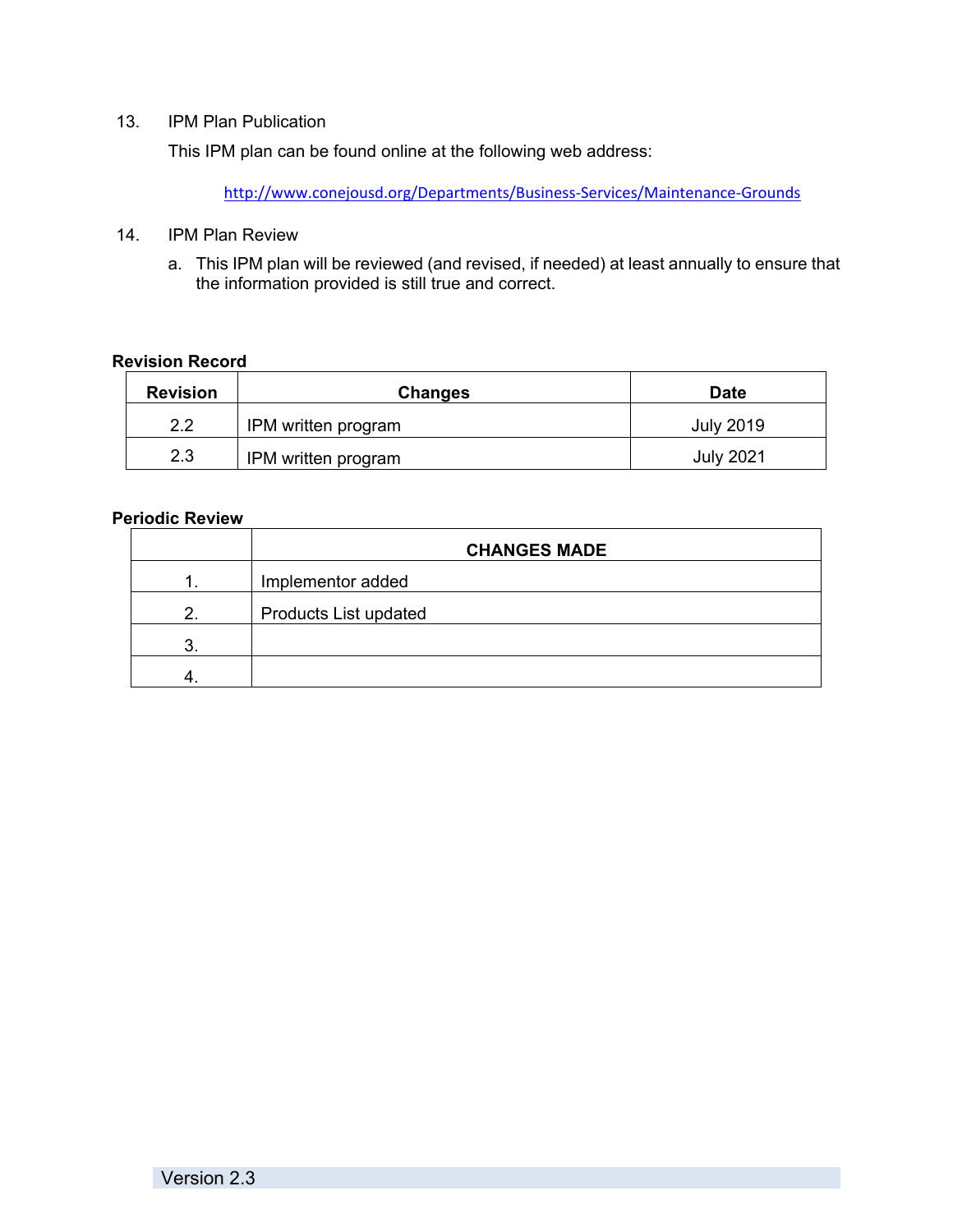# 13. IPM Plan Publication

This IPM plan can be found online at the following web address:

http://www.conejousd.org/Departments/Business‐Services/Maintenance‐Grounds

- 14. IPM Plan Review
	- a. This IPM plan will be reviewed (and revised, if needed) at least annually to ensure that the information provided is still true and correct.

## **Revision Record**

| <b>Revision</b> | <b>Changes</b>      | <b>Date</b>      |
|-----------------|---------------------|------------------|
| 2.2             | IPM written program | <b>July 2019</b> |
| 2.3             | IPM written program | <b>July 2021</b> |

## **Periodic Review**

|    | <b>CHANGES MADE</b>          |
|----|------------------------------|
| 1. | Implementor added            |
| 2. | <b>Products List updated</b> |
| 3  |                              |
|    |                              |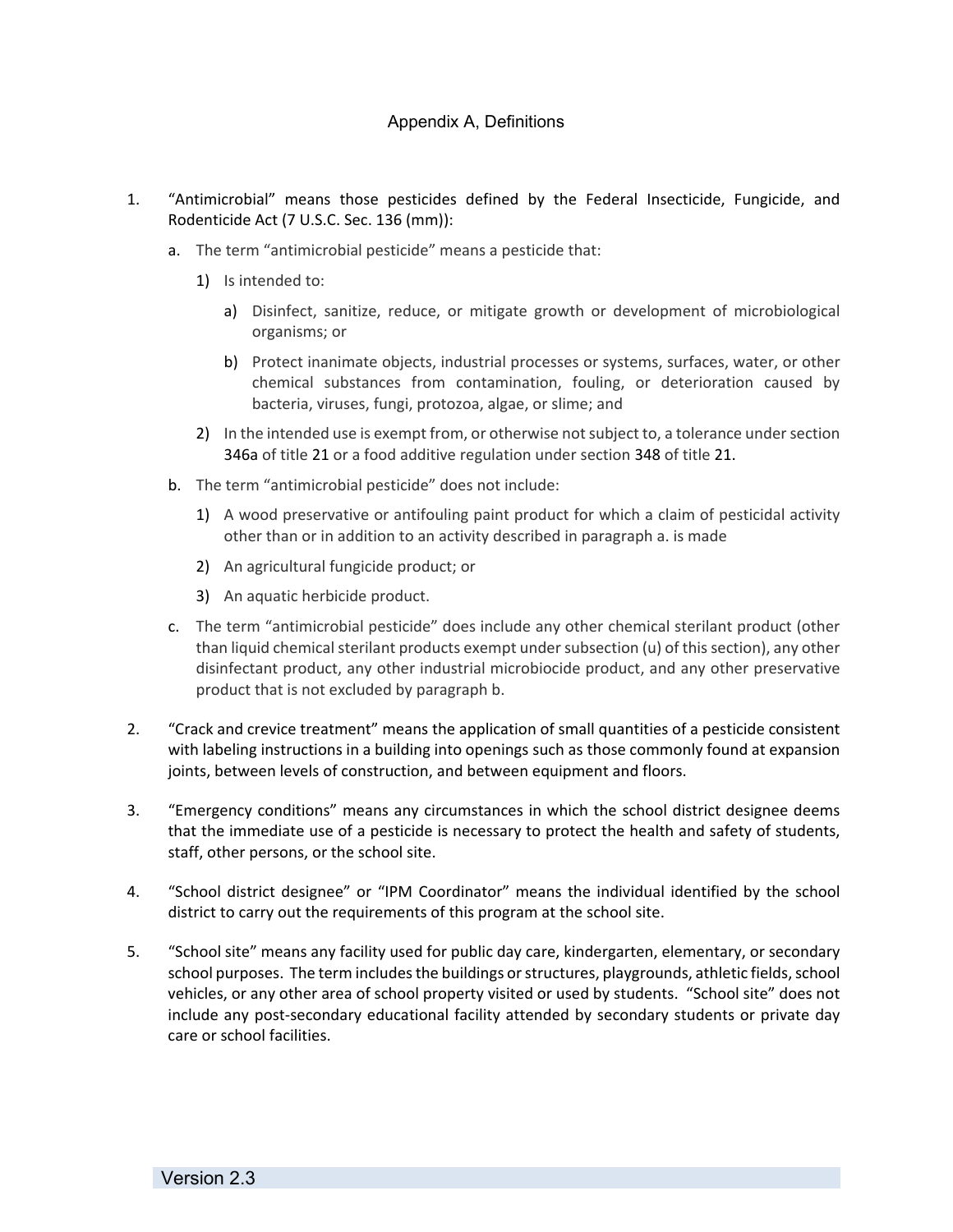# Appendix A, Definitions

- 1. "Antimicrobial" means those pesticides defined by the Federal Insecticide, Fungicide, and Rodenticide Act (7 U.S.C. Sec. 136 (mm)):
	- a. The term "antimicrobial pesticide" means a pesticide that:
		- 1) Is intended to:
			- a) Disinfect, sanitize, reduce, or mitigate growth or development of microbiological organisms; or
			- b) Protect inanimate objects, industrial processes or systems, surfaces, water, or other chemical substances from contamination, fouling, or deterioration caused by bacteria, viruses, fungi, protozoa, algae, or slime; and
		- 2) In the intended use is exempt from, or otherwise not subject to, a tolerance under section 346a of title 21 or a food additive regulation under section 348 of title 21.
	- b. The term "antimicrobial pesticide" does not include:
		- 1) A wood preservative or antifouling paint product for which a claim of pesticidal activity other than or in addition to an activity described in paragraph a. is made
		- 2) An agricultural fungicide product; or
		- 3) An aquatic herbicide product.
	- c. The term "antimicrobial pesticide" does include any other chemical sterilant product (other than liquid chemical sterilant products exempt under subsection (u) of this section), any other disinfectant product, any other industrial microbiocide product, and any other preservative product that is not excluded by paragraph b.
- 2. "Crack and crevice treatment" means the application of small quantities of a pesticide consistent with labeling instructions in a building into openings such as those commonly found at expansion joints, between levels of construction, and between equipment and floors.
- 3. "Emergency conditions" means any circumstances in which the school district designee deems that the immediate use of a pesticide is necessary to protect the health and safety of students, staff, other persons, or the school site.
- 4. "School district designee" or "IPM Coordinator" means the individual identified by the school district to carry out the requirements of this program at the school site.
- 5. "School site" means any facility used for public day care, kindergarten, elementary, or secondary school purposes. The term includes the buildings or structures, playgrounds, athletic fields, school vehicles, or any other area of school property visited or used by students. "School site" does not include any post‐secondary educational facility attended by secondary students or private day care or school facilities.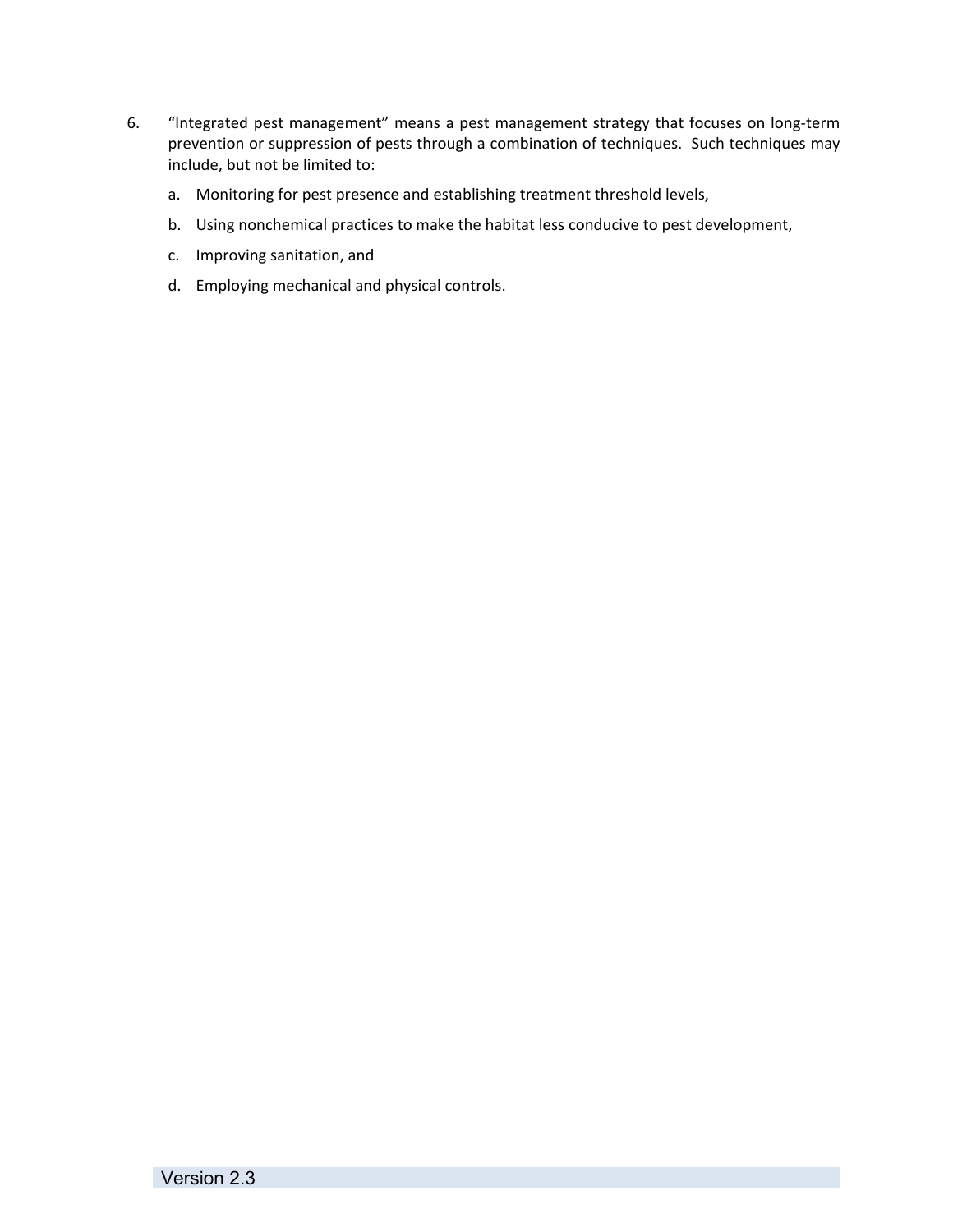- 6. "Integrated pest management" means a pest management strategy that focuses on long‐term prevention or suppression of pests through a combination of techniques. Such techniques may include, but not be limited to:
	- a. Monitoring for pest presence and establishing treatment threshold levels,
	- b. Using nonchemical practices to make the habitat less conducive to pest development,
	- c. Improving sanitation, and
	- d. Employing mechanical and physical controls.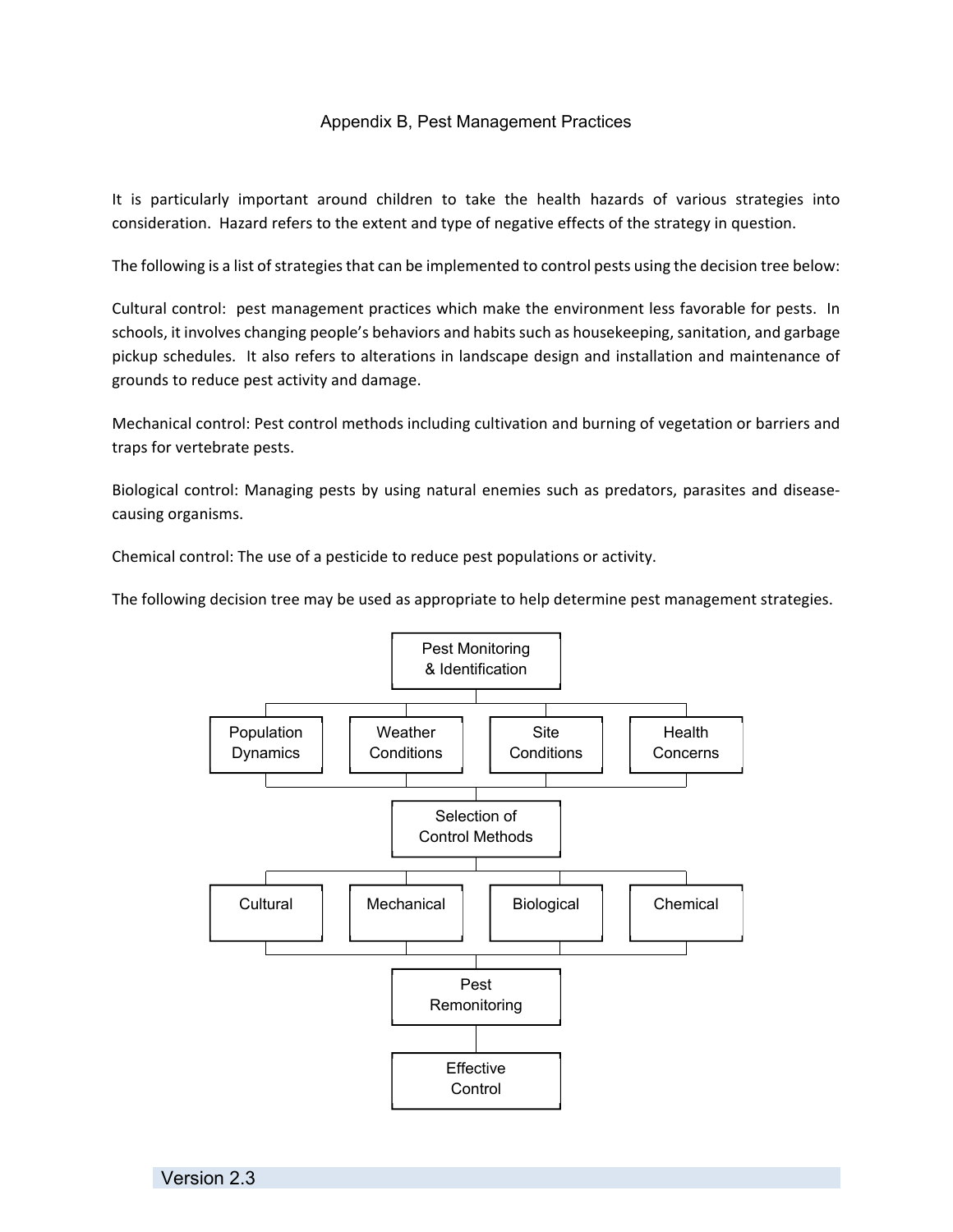# Appendix B, Pest Management Practices

It is particularly important around children to take the health hazards of various strategies into consideration. Hazard refers to the extent and type of negative effects of the strategy in question.

The following is a list of strategies that can be implemented to control pests using the decision tree below:

Cultural control: pest management practices which make the environment less favorable for pests. In schools, it involves changing people's behaviors and habits such as housekeeping, sanitation, and garbage pickup schedules. It also refers to alterations in landscape design and installation and maintenance of grounds to reduce pest activity and damage.

Mechanical control: Pest control methods including cultivation and burning of vegetation or barriers and traps for vertebrate pests.

Biological control: Managing pests by using natural enemies such as predators, parasites and disease‐ causing organisms.

Chemical control: The use of a pesticide to reduce pest populations or activity.

The following decision tree may be used as appropriate to help determine pest management strategies.

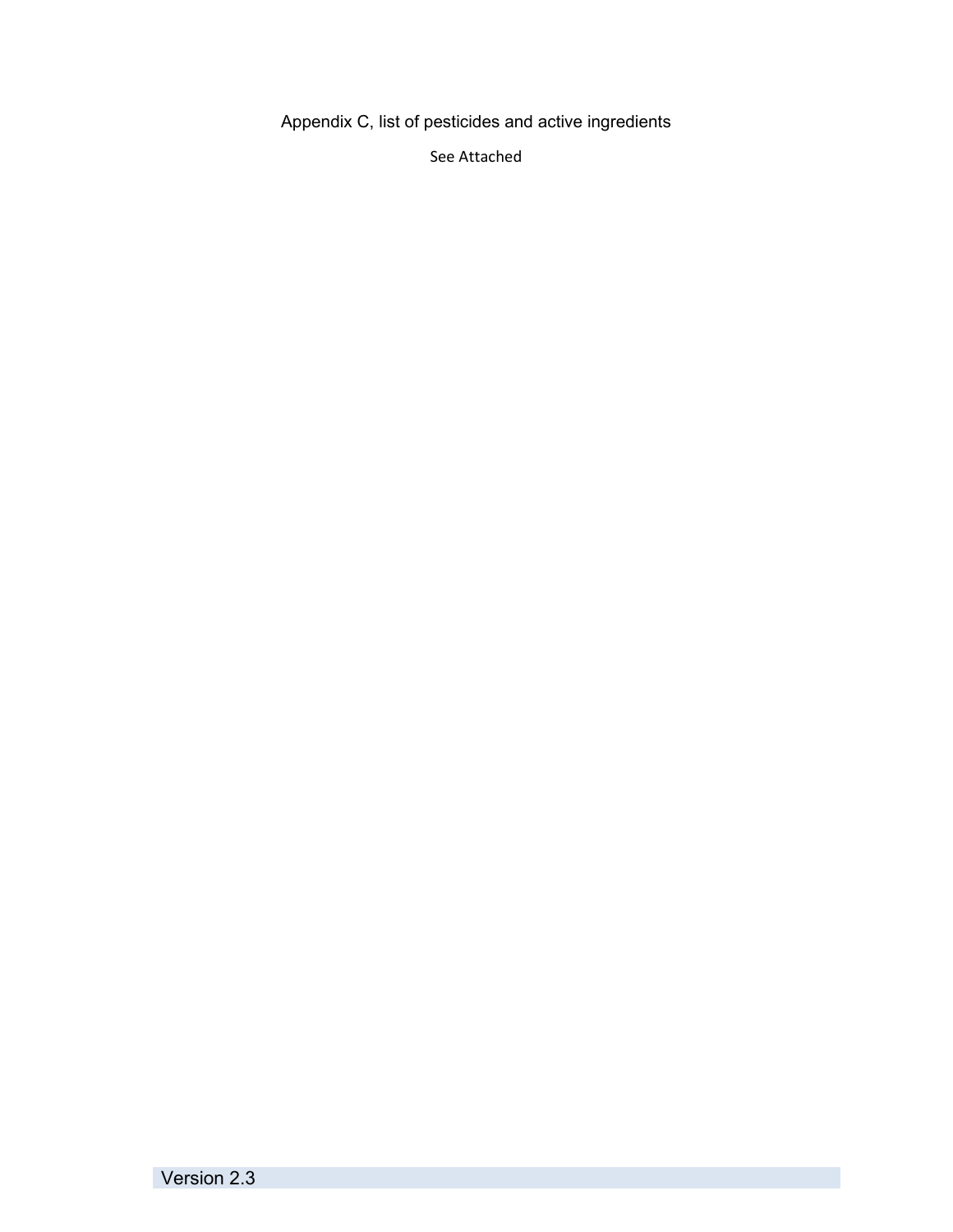Appendix C, list of pesticides and active ingredients

See Attached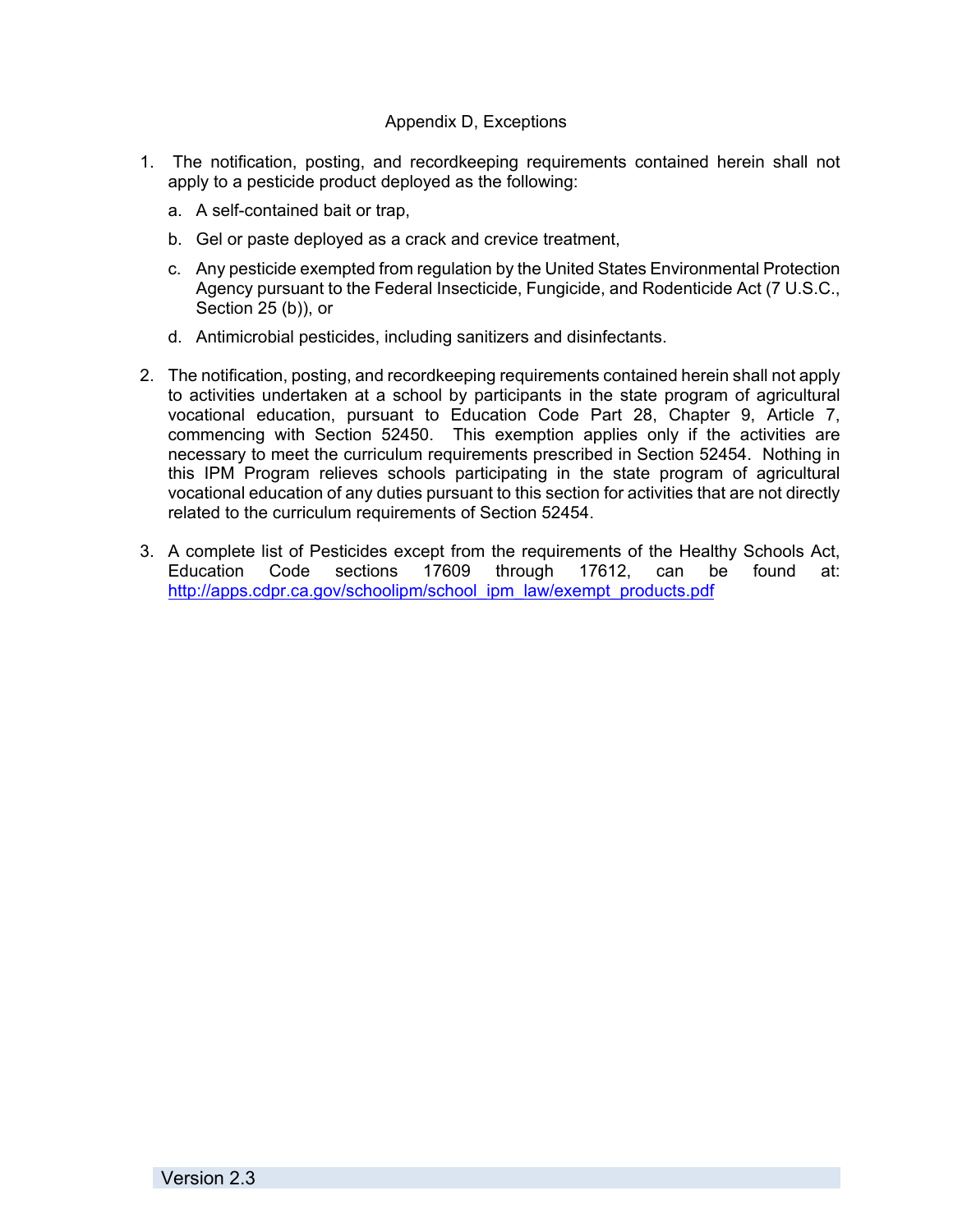# Appendix D, Exceptions

- 1. The notification, posting, and recordkeeping requirements contained herein shall not apply to a pesticide product deployed as the following:
	- a. A self-contained bait or trap,
	- b. Gel or paste deployed as a crack and crevice treatment,
	- c. Any pesticide exempted from regulation by the United States Environmental Protection Agency pursuant to the Federal Insecticide, Fungicide, and Rodenticide Act (7 U.S.C., Section 25 (b)), or
	- d. Antimicrobial pesticides, including sanitizers and disinfectants.
- 2. The notification, posting, and recordkeeping requirements contained herein shall not apply to activities undertaken at a school by participants in the state program of agricultural vocational education, pursuant to Education Code Part 28, Chapter 9, Article 7, commencing with Section 52450. This exemption applies only if the activities are necessary to meet the curriculum requirements prescribed in Section 52454. Nothing in this IPM Program relieves schools participating in the state program of agricultural vocational education of any duties pursuant to this section for activities that are not directly related to the curriculum requirements of Section 52454.
- 3. A complete list of Pesticides except from the requirements of the Healthy Schools Act, Education Code sections 17609 through 17612, can be found at: http://apps.cdpr.ca.gov/schoolipm/school\_ipm\_law/exempt\_products.pdf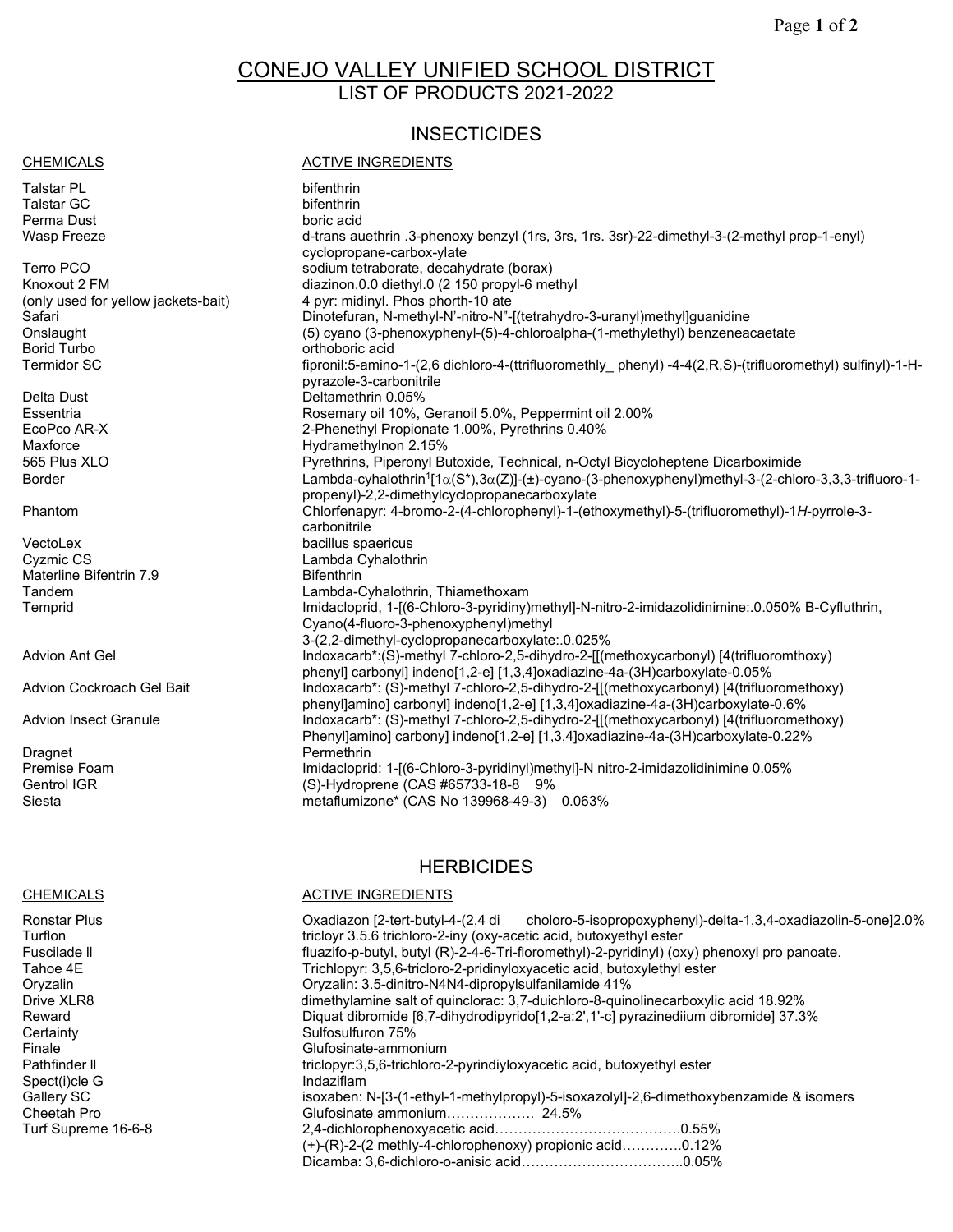# CONEJO VALLEY UNIFIED SCHOOL DISTRICT LIST OF PRODUCTS 2021-2022

# **INSECTICIDES**

### CHEMICALS **CHEMICALS ACTIVE INGREDIENTS**

Talstar PL bifenthrin Talstar GC bifenthrin Perma Dust

VectoLex bacillus spaericus Materline Bifentrin 7.9<br>Tandem

Advion Ant Gel **Indoxacarb<sup>\*</sup>:(S)-methyl 7-chloro-2,5-dihydro-2-[[(methoxycarbonyl) [4(trifluoromthoxy)** 

Advion Cockroach Gel Bait Indoxacarb\*: (S)-methyl 7-chloro-2,5-dihydro-2-[[(methoxycarbonyl) [4(trifluoromethoxy)

Advion Insect Granule **Indoxacarb<sup>\*</sup>: (S)-methyl 7-chloro-2,5-dihydro-2-[[(methoxycarbonyl) [4(trifluoromethoxy)** 

Dragnet **Permethrin**<br>Premise Foam **Permethrin** Premise Foam Gentrol IGR (S)-Hydroprene (CAS #65733-18-8 9% Siesta metaflumizone\* (CAS No 139968-49-3) 0.063%

## Wasp Freeze d-trans auethrin .3-phenoxy benzyl (1rs, 3rs, 1rs. 3sr)-22-dimethyl-3-(2-methyl prop-1-enyl) cyclopropane-carbox-ylate Terro PCO sodium tetraborate, decahydrate (borax)<br>Knoxout 2 FM strategy south diazinon.0.0 diethyl.0 (2 150 propyl-6 me Knoxout 2 FM diazinon.0.0 diethyl.0 (2 150 propyl-6 methyl<br>(only used for yellow jackets-bait) 4 pyr: midinyl. Phos phorth-10 ate 4 pyr: midinyl. Phos phorth-10 ate Safari Dinotefuran, N-methyl-N'-nitro-N"-[(tetrahydro-3-uranyl)methyl]guanidine Onslaught (5) cyano (3-phenoxyphenyl-(5)-4-chloroalpha-(1-methylethyl) benzeneacaetate orthoboric acid Termidor SC fipronil:5-amino-1-(2,6 dichloro-4-(ttrifluoromethly\_ phenyl) -4-4(2,R,S)-(trifluoromethyl) sulfinyl)-1-Hpyrazole-3-carbonitrile Delta Dust **Deltamethrin 0.05%** Essentria Rosemary oil 10%, Geranoil 5.0%, Peppermint oil 2.00% EcoPco AR-X **2-Phenethyl Propionate 1.00%, Pyrethrins 0.40%**<br>Maxforce Hydramethylpon 2.15% Maxforce **Maxforce 19** Maxforce Hydramethylnon 2.15%<br>1995 Plus XLO Maxwell Development Pyrethrins. Piperonyl Bu Pyrethrins, Piperonyl Butoxide, Technical, n-Octyl Bicycloheptene Dicarboximide Border Lambda-cyhalothrin1[1α(S\*),3α(Z)]-(±)-cyano-(3-phenoxyphenyl)methyl-3-(2-chloro-3,3,3-trifluoro-1 propenyl)-2,2-dimethylcyclopropanecarboxylate Phantom Chlorfenapyr: 4-bromo-2-(4-chlorophenyl)-1-(ethoxymethyl)-5-(trifluoromethyl)-1*H*-pyrrole-3 carbonitrile Cyzmic CS Lambda Cyhalothrin Tandem Lambda-Cyhalothrin, Thiamethoxam Imidacloprid, 1-[(6-Chloro-3-pyridiny)methyl]-N-nitro-2-imidazolidinimine:.0.050% B-Cyfluthrin,

# **HERBICIDES**

Cyano(4-fluoro-3-phenoxyphenyl)methyl

3-(2,2-dimethyl-cyclopropanecarboxylate:.0.025%

phenyl] carbonyl] indeno[1,2-e] [1,3,4]oxadiazine-4a-(3H)carboxylate-0.05%

phenyl]amino] carbonyl] indeno[1,2-e] [1,3,4]oxadiazine-4a-(3H)carboxylate-0.6%

Phenyl]amino] carbony] indeno[1,2-e] [1,3,4]oxadiazine-4a-(3H)carboxylate-0.22%

Imidacloprid: 1-[(6-Chloro-3-pyridinyl)methyl]-N nitro-2-imidazolidinimine 0.05%

CHEMICALS ACTIVE INGREDIENTS

| Ronstar Plus        | Oxadiazon [2-tert-butyl-4-(2,4 di choloro-5-isopropoxyphenyl)-delta-1,3,4-oxadiazolin-5-one]2.0% |  |  |  |  |
|---------------------|--------------------------------------------------------------------------------------------------|--|--|--|--|
| Turflon             | tricloyr 3.5.6 trichloro-2-iny (oxy-acetic acid, butoxyethyl ester                               |  |  |  |  |
| Fuscilade II        | fluazifo-p-butyl, butyl (R)-2-4-6-Tri-floromethyl)-2-pyridinyl) (oxy) phenoxyl pro panoate.      |  |  |  |  |
| Tahoe 4E            | Trichlopyr: 3,5,6-tricloro-2-pridinyloxyacetic acid, butoxylethyl ester                          |  |  |  |  |
| Orvzalin            | Oryzalin: 3.5-dinitro-N4N4-dipropylsulfanilamide 41%                                             |  |  |  |  |
| Drive XLR8          | dimethylamine salt of quinclorac: 3,7-duichloro-8-quinolinecarboxylic acid 18.92%                |  |  |  |  |
| Reward              | Diquat dibromide [6,7-dihydrodipyrido[1,2-a:2',1'-c] pyrazinediium dibromide] 37.3%              |  |  |  |  |
| Certainty           | Sulfosulfuron 75%                                                                                |  |  |  |  |
| Finale              | Glufosinate-ammonium                                                                             |  |  |  |  |
| Pathfinder II       | triclopyr:3,5,6-trichloro-2-pyrindiyloxyacetic acid, butoxyethyl ester                           |  |  |  |  |
| Spect(i)cle G       | Indaziflam                                                                                       |  |  |  |  |
| Gallery SC          | isoxaben: N-[3-(1-ethyl-1-methylpropyl)-5-isoxazolyl]-2,6-dimethoxybenzamide & isomers           |  |  |  |  |
| Cheetah Pro         |                                                                                                  |  |  |  |  |
| Turf Supreme 16-6-8 |                                                                                                  |  |  |  |  |
|                     | $(+)$ -(R)-2-(2 methly-4-chlorophenoxy) propionic acid0.12%                                      |  |  |  |  |
|                     |                                                                                                  |  |  |  |  |
|                     |                                                                                                  |  |  |  |  |